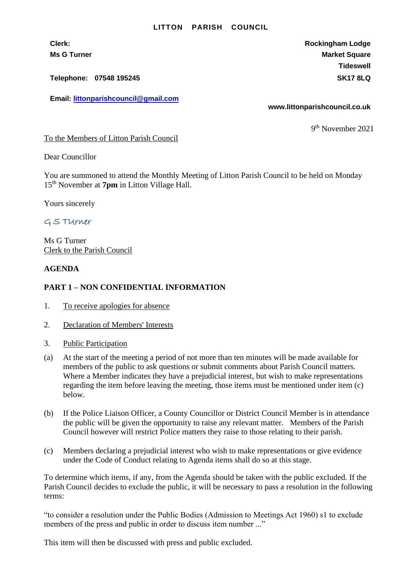## **LITTON PARISH COUNCIL**

**Telephone: 07548 195245 SK17 8LQ**

**Email: [littonparishcouncil@gmail.com](mailto:littonparishcouncil@gmail.com)**

**Clerk: Rockingham Lodge Ms G Turner Market Square** Market Square Market Square Market Square **Tideswell**

**www.littonparishcouncil.co.uk**

9 th November 2021

To the Members of Litton Parish Council

Dear Councillor

You are summoned to attend the Monthly Meeting of Litton Parish Council to be held on Monday 15 th November at **7pm** in Litton Village Hall.

Yours sincerely

## G S TUrner

Ms G Turner Clerk to the Parish Council

## **AGENDA**

## **PART 1 – NON CONFIDENTIAL INFORMATION**

- 1. To receive apologies for absence
- 2. Declaration of Members' Interests
- 3. Public Participation
- (a) At the start of the meeting a period of not more than ten minutes will be made available for members of the public to ask questions or submit comments about Parish Council matters. Where a Member indicates they have a prejudicial interest, but wish to make representations regarding the item before leaving the meeting, those items must be mentioned under item (c) below.
- (b) If the Police Liaison Officer, a County Councillor or District Council Member is in attendance the public will be given the opportunity to raise any relevant matter. Members of the Parish Council however will restrict Police matters they raise to those relating to their parish.
- (c) Members declaring a prejudicial interest who wish to make representations or give evidence under the Code of Conduct relating to Agenda items shall do so at this stage.

To determine which items, if any, from the Agenda should be taken with the public excluded. If the Parish Council decides to exclude the public, it will be necessary to pass a resolution in the following terms:

"to consider a resolution under the Public Bodies (Admission to Meetings Act 1960) s1 to exclude members of the press and public in order to discuss item number ..."

This item will then be discussed with press and public excluded.